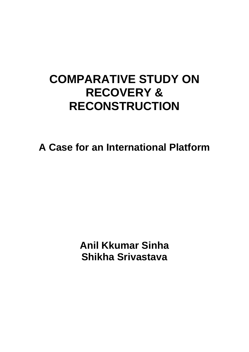# **COMPARATIVE STUDY ON RECOVERY & RECONSTRUCTION**

**A Case for an International Platform** 

**Anil Kkumar Sinha Shikha Srivastava**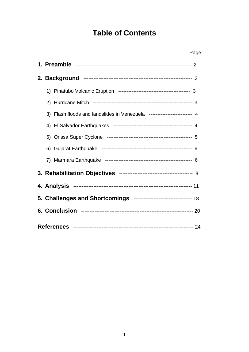# **Table of Contents**

| Page                                                                    |  |  |  |  |  |
|-------------------------------------------------------------------------|--|--|--|--|--|
|                                                                         |  |  |  |  |  |
|                                                                         |  |  |  |  |  |
|                                                                         |  |  |  |  |  |
| 2)                                                                      |  |  |  |  |  |
| 3) Flash floods and landslides in Venezuela ------------------------- 4 |  |  |  |  |  |
|                                                                         |  |  |  |  |  |
|                                                                         |  |  |  |  |  |
|                                                                         |  |  |  |  |  |
|                                                                         |  |  |  |  |  |
|                                                                         |  |  |  |  |  |
|                                                                         |  |  |  |  |  |
| 5. Challenges and Shortcomings --------------------------------- 18     |  |  |  |  |  |
|                                                                         |  |  |  |  |  |
|                                                                         |  |  |  |  |  |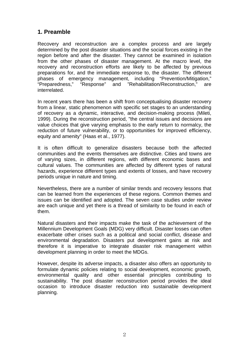# **1. Preamble**

Recovery and reconstruction are a complex process and are largely determined by the post disaster situations and the social forces existing in the region before and after the disaster. They cannot be examined in isolation from the other phases of disaster management. At the macro level, the recovery and reconstruction efforts are likely to be affected by previous preparations for, and the immediate response to, the disaster. The different phases of emergency management, including "Prevention/Mitigation," "Preparedness," "Response" and "Rehabilitation/Reconstruction," are interrelated.

In recent years there has been a shift from conceptualising disaster recovery from a linear, static phenomenon with specific set stages to an understanding of recovery as a dynamic, interactive, and decision-making process (Mileti, 1999). During the reconstruction period, "the central issues and decisions are value choices that give varying emphasis to the early return to normalcy, the reduction of future vulnerability, or to opportunities for improved efficiency, equity and amenity" (Haas et al., 1977).

It is often difficult to generalize disasters because both the affected communities and the events themselves are distinctive. Cities and towns are of varying sizes, in different regions, with different economic bases and cultural values. The communities are affected by different types of natural hazards, experience different types and extents of losses, and have recovery periods unique in nature and timing.

Nevertheless, there are a number of similar trends and recovery lessons that can be learned from the experiences of these regions. Common themes and issues can be identified and adopted. The seven case studies under review are each unique and yet there is a thread of similarity to be found in each of them.

Natural disasters and their impacts make the task of the achievement of the Millennium Development Goals (MDG) very difficult. Disaster losses can often exacerbate other crises such as a political and social conflict, disease and environmental degradation. Disasters put development gains at risk and therefore it is imperative to integrate disaster risk management within development planning in order to meet the MDGs.

However, despite its adverse impacts, a disaster also offers an opportunity to formulate dynamic policies relating to social development, economic growth, environmental quality and other essential principles contributing to sustainability. The post disaster reconstruction period provides the ideal occasion to introduce disaster reduction into sustainable development planning.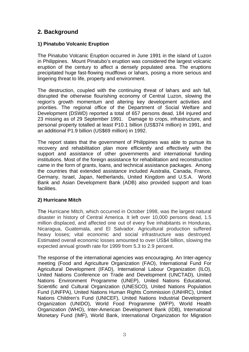# **2. Background**

#### **1) Pinatubo Volcanic Eruption**

The Pinatubo Volcanic Eruption occurred in June 1991 in the island of Luzon in Philippines. Mount Pinatubo's eruption was considered the largest volcanic eruption of the century to affect a densely populated area. The eruptions precipitated huge fast-flowing mudflows or lahars, posing a more serious and lingering threat to life, property and environment.

The destruction, coupled with the continuing threat of lahars and ash fall, disrupted the otherwise flourishing economy of Central Luzon, slowing the region's growth momentum and altering key development activities and priorities. The regional office of the Department of Social Welfare and Development (DSWD) reported a total of 657 persons dead, 184 injured and 23 missing as of 29 September 1991. Damage to crops, infrastructure, and personal property totalled at least P10.1 billion (US\$374 million) in 1991, and an additional P1.9 billion (US\$69 million) in 1992.

The report states that the government of Philippines was able to pursue its recovery and rehabilitation plan more efficiently and effectively with the support and assistance of other governments and international funding institutions. Most of the foreign assistance for rehabilitation and reconstruction came in the form of grants, loans, and technical assistance packages. Among the countries that extended assistance included Australia, Canada, France, Germany, Israel, Japan, Netherlands, United Kingdom and U.S.A. World Bank and Asian Development Bank (ADB) also provided support and loan facilities.

#### **2) Hurricane Mitch**

The Hurricane Mitch, which occurred in October 1998, was the largest natural disaster in history of Central America. It left over 10,000 persons dead, 1.5 million displaced, and affected one out of every five inhabitants in Honduras, Nicaragua, Guatemala, and El Salvador. Agricultural production suffered heavy losses; vital economic and social infrastructure was destroyed. Estimated overall economic losses amounted to over US\$4 billion, slowing the expected annual growth rate for 1999 from 5.3 to 2.9 percent.

The response of the international agencies was encouraging. An Inter-agency meeting (Food and Agriculture Organization (FAO), International Fund For Agricultural Development (IFAD), International Labour Organization (ILO), United Nations Conference on Trade and Development (UNCTAD), United Nations Environment Programme (UNEP), United Nations Educational, Scientific and Cultural Organization (UNESCO), United Nations Population Fund (UNFPA), United Nations Human Rights Commission (UNHRC), United Nations Children's Fund (UNICEF), United Nations Industrial Development Organization (UNIDO), World Food Programme (WFP), World Health Organization (WHO), Inter-American Development Bank (IDB), International Monetary Fund (IMF), World Bank, International Organization for Migration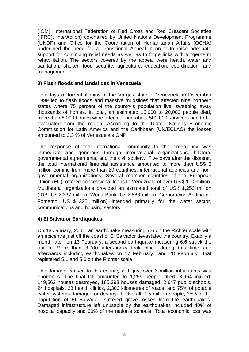(IOM), International Federation of Red Cross and Red Crescent Societies (IFRC), InterAction) co-chaired by United Nations Development Programme (UNDP) and Office for the Coordination of Humanitarian Affairs (OCHA) underlined the need for a Transitional Appeal in order to raise adequate support for continuing relief needs as well as to forge links with longer-term rehabilitation. The sectors covered by the appeal were health, water and sanitation, shelter, food security, agriculture, education, coordination, and management.

#### **3) Flash floods and landslides in Venezuela**

Ten days of torrential rains in the Vargas state of Venezuela in December 1999 led to flash floods and massive mudslides that affected nine northern states where 75 percent of the country's population live, sweeping away thousands of homes. In total, an estimated 15,000 to 20,000 people died, more than 8,000 homes were affected, and about 500,000 survivors had to be evacuated from the region. According to the United Nations Economic Commission for Latin America and the Caribbean (UN/ECLAC) the losses amounted to 3.3 % of Venezuela's GNP.

The response of the international community to the emergency was immediate and generous through international organizations, bilateral governmental agreements, and the civil society. Five days after the disaster, the total international financial assistance amounted to more than US\$ 8 million coming from more than 20 countries, international agencies and nongovernmental organizations. Several member countries of the European Union (EU), offered concessional loans to Venezuela of over US \$100 million. Multilateral organizations provided an estimated total of US  $$1,250$  million (IDB: US\$337 million; World Bank: US\$588 million; Corporación Andina de Fomento: US \$ 325 million) intended primarily for the water sector, communications and housing sectors.

#### **4) El Salvador Earthquakes**

On 13 January, 2001, an earthquake measuring 7.6 on the Richter scale with an epicentre just off the coast of El Salvador devastated the country. Exactly a month later, on 13 February, a second earthquake measuring 6.6 struck the nation. More than 3,000 aftershocks took place during this time and afterwards including earthquakes on 17 February and 28 February that registered 5.1 and 5.6 on the Richter scale.

The damage caused to this country with just over 6 million inhabitants was enormous. The final toll amounted to 1,259 people killed, 8,964 injured, 149,563 houses destroyed, 185,398 houses damaged, 2,647 public schools, 24 hospitals, 28 health clinics, 2,300 kilometres of roads, and 75% of potable water systems damaged or destroyed. Overall, 1.5 million people, 25% of the population of El Salvador, suffered grave losses from the earthquakes. Damaged infrastructure left unusable by the earthquakes included 40% of hospital capacity and 30% of the nation's schools. Total economic loss was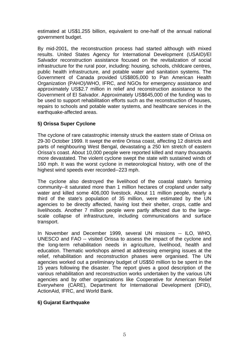estimated at US\$1.255 billion, equivalent to one-half of the annual national government budget.

By mid-2001, the reconstruction process had started although with mixed results. United States Agency for International Development (USAID)/El Salvador reconstruction assistance focused on the revitalization of social infrastructure for the rural poor, including: housing, schools, childcare centres, public health infrastructure, and potable water and sanitation systems. The Government of Canada provided US\$805,000 to Pan American Health Organization (PAHO)/WHO, IFRC, and NGOs for emergency assistance and approximately US\$2.7 million in relief and reconstruction assistance to the Government of El Salvador. Approximately US\$645,000 of the funding was to be used to support rehabilitation efforts such as the reconstruction of houses, repairs to schools and potable water systems, and healthcare services in the earthquake-affected areas.

#### **5) Orissa Super Cyclone**

The cyclone of rare catastrophic intensity struck the eastern state of Orissa on 29-30 October 1999. It swept the entire Orissa coast, affecting 12 districts and parts of neighbouring West Bengal, devastating a 250 km stretch of eastern Orissa's coast. About 10,000 people were reported killed and many thousands more devastated. The violent cyclone swept the state with sustained winds of 160 mph. It was the worst cyclone in meteorological history, with one of the highest wind speeds ever recorded--223 mph.

The cyclone also destroyed the livelihood of the coastal state's farming community--it saturated more than 1 million hectares of cropland under salty water and killed some 406,000 livestock. About 11 million people, nearly a third of the state's population of 35 million, were estimated by the UN agencies to be directly affected, having lost their shelter, crops, cattle and livelihoods. Another 7 million people were partly affected due to the largescale collapse of infrastructure, including communications and surface transport.

In November and December 1999, several UN missions -- ILO, WHO, UNESCO and FAO -- visited Orissa to assess the impact of the cyclone and the long-term rehabilitation needs in agriculture, livelihood, health and education. Thematic workshops aimed at addressing emerging issues at the relief, rehabilitation and reconstruction phases were organised. The UN agencies worked out a preliminary budget of US\$50 million to be spent in the 15 years following the disaster. The report gives a good description of the various rehabilitation and reconstruction works undertaken by the various UN agencies and by other organizations like Cooperative for American Relief Everywhere (CARE), Department for International Development (DFID), ActionAid, IFRC, and World Bank.

#### **6) Gujarat Earthquake**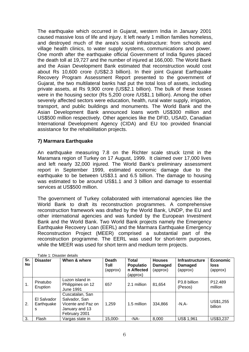The earthquake which occurred in Gujarat, western India in January 2001 caused massive loss of life and injury. It left nearly 1 million families homeless, and destroyed much of the area's social infrastructure: from schools and village health clinics, to water supply systems, communications and power. One month after the earthquake official Government of India figures placed the death toll at 19,727 and the number of injured at 166,000. The World Bank and the Asian Development Bank estimated that reconstruction would cost about Rs 10,600 crore (US\$2.3 billion). In their joint Gujarat Earthquake Recovery Program Assessment Report presented to the government of Gujarat, the two multilateral banks had put the total loss of assets, including private assets, at Rs 9,900 crore (US\$2.1 billion). The bulk of these losses were in the housing sector (Rs 5,200 crore /US\$1.1 billion). Among the other severely affected sectors were education, health, rural water supply, irrigation, transport, and public buildings and monuments. The World Bank and the Asian Development Bank announced loans worth US\$300 million and US\$500 million respectively. Other agencies like the DFID, USAID, Canadian International Development Agency (CIDA) and EU too provided financial assistance for the rehabilitation projects.

#### **7) Marmara Earthquake**

An earthquake measuring 7.8 on the Richter scale struck Izmit in the Maramara region of Turkey on 17 August, 1999. It claimed over 17,000 lives and left nearly 32,000 injured. The World Bank's preliminary assessment report in September 1999, estimated economic damage due to the earthquake to be between US\$3.1 and 6.5 billion. The damage to housing was estimated to be around US\$1.1 and 3 billion and damage to essential services at US\$500 million.

The government of Turkey collaborated with international agencies like the World Bank to draft its reconstruction programmes. A comprehensive reconstruction framework was drafted by the World Bank, UNDP, the EU and other international agencies and was funded by the European Investment Bank and the World Bank. Two World Bank projects namely the Emergency Earthquake Recovery Loan (EERL) and the Marmara Earthquake Emergency Reconstruction Project (MEER) comprised a substantial part of the reconstruction programme. The EERL was used for short-term purposes, while the MEER was used for short term and medium term projects.

| Table 1: Disaster details |                                |                                                                                           |                                  |                                                            |                                             |                                              |                                            |
|---------------------------|--------------------------------|-------------------------------------------------------------------------------------------|----------------------------------|------------------------------------------------------------|---------------------------------------------|----------------------------------------------|--------------------------------------------|
| Sr.<br>No                 | <b>Disaster</b>                | When & where                                                                              | <b>Death</b><br>Toll<br>(approx) | <b>Total</b><br><b>Populatio</b><br>n Affected<br>(approx) | <b>Houses</b><br><b>Damaged</b><br>(approx) | <b>Infrastructure</b><br>Damaged<br>(approx) | <b>Economic</b><br><b>loss</b><br>(approx) |
| 1.                        | Pinatubo<br>Eruption           | Luzon island in<br>Philippines on 12<br><b>June 1991</b>                                  | 657                              | 2.1 million                                                | 81,654                                      | P3.8 billion<br>(Pesos)                      | P <sub>12.489</sub><br>million             |
| 2.                        | El Salvador<br>Earthquake<br>S | Cuscatalan, San<br>Salvador, San<br>Vicente and Paz on<br>January and 13<br>February 2001 | 1,259                            | 1.5 million                                                | 334,866                                     | $-N.A-$                                      | US\$1,255<br>billion                       |
| 3.                        | Flash                          | Vargas state in                                                                           | 15,000-                          | -NA-                                                       | 8,000                                       | <b>US\$ 1,961</b>                            | US\$3,237                                  |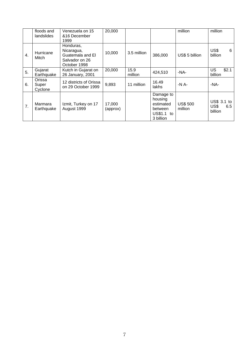|    | floods and<br>landslides   | Venezuela on 15<br>&16 December<br>1999                                       | 20,000             |                 |                                                                         | million                    | million                               |
|----|----------------------------|-------------------------------------------------------------------------------|--------------------|-----------------|-------------------------------------------------------------------------|----------------------------|---------------------------------------|
| 4. | Hurricane<br>Mitch         | Honduras,<br>Nicaragua,<br>Guatemala and El<br>Salvador on 26<br>October 1998 | 10,000             | 3.5 million     | 386,000                                                                 | US\$ 5 billion             | US\$<br>6<br>billion                  |
| 5. | Gujarat<br>Earthquake      | Kutch in Gujarat on<br>26 January, 2001                                       | 20,000             | 15.9<br>million | 424,510                                                                 | $-NA-$                     | \$2.1<br>US<br>billion                |
| 6. | Orissa<br>Super<br>Cyclone | 12 districts of Orissa<br>on 29 October 1999                                  | 9,893              | 11 million      | 16.49<br>lakhs                                                          | -N $A$ -                   | -NA-                                  |
| 7. | Marmara<br>Earthquake      | Izmit, Turkey on 17<br>August 1999                                            | 17,000<br>(approx) |                 | Damage to<br>housing<br>estimated<br>between<br>US\$1.1 to<br>3 billion | <b>US\$ 500</b><br>million | US\$ 3.1 to<br>US\$<br>6.5<br>billion |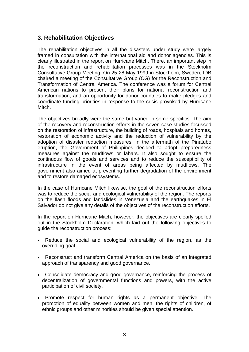# **3. Rehabilitation Objectives**

The rehabilitation objectives in all the disasters under study were largely framed in consultation with the international aid and donor agencies. This is clearly illustrated in the report on Hurricane Mitch. There, an important step in the reconstruction and rehabilitation processes was in the Stockholm Consultative Group Meeting. On 25-28 May 1999 in Stockholm, Sweden, IDB chaired a meeting of the Consultative Group (CG) for the Reconstruction and Transformation of Central America. The conference was a forum for Central American nations to present their plans for national reconstruction and transformation, and an opportunity for donor countries to make pledges and coordinate funding priorities in response to the crisis provoked by Hurricane Mitch.

The objectives broadly were the same but varied in some specifics. The aim of the recovery and reconstruction efforts in the seven case studies focussed on the restoration of infrastructure, the building of roads, hospitals and homes, restoration of economic activity and the reduction of vulnerability by the adoption of disaster reduction measures. In the aftermath of the Pinatubo eruption, the Government of Philippines decided to adopt preparedness measures against the mudflows or lahars. It also sought to ensure the continuous flow of goods and services and to reduce the susceptibility of infrastructure in the event of areas being affected by mudflows. The government also aimed at preventing further degradation of the environment and to restore damaged ecosystems.

In the case of Hurricane Mitch likewise, the goal of the reconstruction efforts was to reduce the social and ecological vulnerability of the region. The reports on the flash floods and landslides in Venezuela and the earthquakes in El Salvador do not give any details of the objectives of the reconstruction efforts.

In the report on Hurricane Mitch, however, the objectives are clearly spelled out in the Stockholm Declaration, which laid out the following objectives to guide the reconstruction process:

- Reduce the social and ecological vulnerability of the region, as the overriding goal.
- Reconstruct and transform Central America on the basis of an integrated approach of transparency and good governance.
- Consolidate democracy and good governance, reinforcing the process of decentralization of governmental functions and powers, with the active participation of civil society.
- Promote respect for human rights as a permanent objective. The promotion of equality between women and men, the rights of children, of ethnic groups and other minorities should be given special attention.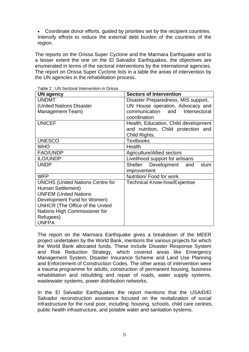• Coordinate donor efforts, guided by priorities set by the recipient countries. Intensify efforts to reduce the external debt burden of the countries of the region.

The reports on the Orissa Super Cyclone and the Marmara Earthquake and to a lesser extent the one on the El Salvador Earthquakes, the objectives are enumerated in terms of the sectoral interventions by the international agencies. The report on Orissa Super Cyclone lists in a table the areas of intervention by the UN agencies in the rehabilitation process.

| <b>UN agency</b>                        | <b>Sectors of Intervention</b>        |
|-----------------------------------------|---------------------------------------|
| <b>UNDMT</b>                            | Disaster Preparedness, MIS support,   |
| (United Nations Disaster                | UN House operation, Advocacy and      |
| <b>Management Team)</b>                 | communication and Intersectoral       |
|                                         | coordination                          |
| <b>UNICEF</b>                           | Health, Education, Child development  |
|                                         | and nutrition, Child protection and   |
|                                         | Child Rights.                         |
| <b>UNESCO</b>                           | <b>Textbooks</b>                      |
| <b>WHO</b>                              | Health                                |
| <b>FAO/UNDP</b>                         | <b>Agriculture/Allied sectors</b>     |
| <b>ILO/UNDP</b>                         | Livelihood support for artisans       |
| <b>UNDP</b>                             | Development<br>Shelter<br>and<br>slum |
|                                         | improvement                           |
| <b>WFP</b>                              | Nutrition/Food for work               |
| <b>UNCHS (United Nations Centre for</b> | <b>Technical Know-how/Expertise</b>   |
| Human Settlement)                       |                                       |
| <b>UNFEM (United Nations</b>            |                                       |
| Development Fund for Women)             |                                       |
| UNHCR (The Office of the United         |                                       |
| Nations High Commissioner for           |                                       |
| Refugees)                               |                                       |
| <b>UNFPA</b>                            |                                       |

Table 2 : UN Sectoral Intervention in Orissa

The report on the Marmara Earthquake gives a breakdown of the MEER project undertaken by the World Bank, mentions the various projects for which the World Bank allocated funds. These include Disaster Response System and Risk Reduction Strategy, which covered areas like Emergency Management System, Disaster Insurance Scheme and Land Use Planning and Enforcement of Construction Codes. The other areas of intervention were a trauma programme for adults, construction of permanent housing, business rehabilitation and rebuilding and repair of roads, water supply systems, wastewater systems, power distribution networks.

In the El Salvador Earthquakes the report mentions that the USAID/El Salvador reconstruction assistance focused on the revitalization of social infrastructure for the rural poor, including: housing, schools, child care centres, public health infrastructure, and potable water and sanitation systems.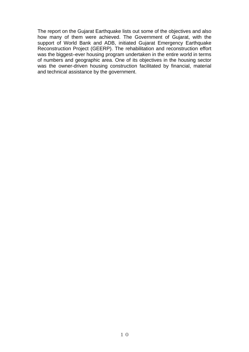The report on the Gujarat Earthquake lists out some of the objectives and also how many of them were achieved. The Government of Gujarat, with the support of World Bank and ADB, initiated Gujarat Emergency Earthquake Reconstruction Project (GEERP). The rehabilitation and reconstruction effort was the biggest–ever housing program undertaken in the entire world in terms of numbers and geographic area. One of its objectives in the housing sector was the owner-driven housing construction facilitated by financial, material and technical assistance by the government.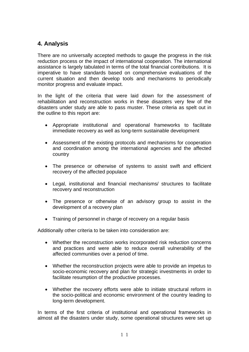# **4. Analysis**

There are no universally accepted methods to gauge the progress in the risk reduction process or the impact of international cooperation. The international assistance is largely tabulated in terms of the total financial contributions. It is imperative to have standards based on comprehensive evaluations of the current situation and then develop tools and mechanisms to periodically monitor progress and evaluate impact.

In the light of the criteria that were laid down for the assessment of rehabilitation and reconstruction works in these disasters very few of the disasters under study are able to pass muster. These criteria as spelt out in the outline to this report are:

- Appropriate institutional and operational frameworks to facilitate immediate recovery as well as long-term sustainable development
- Assessment of the existing protocols and mechanisms for cooperation and coordination among the international agencies and the affected country
- The presence or otherwise of systems to assist swift and efficient recovery of the affected populace
- Legal, institutional and financial mechanisms/ structures to facilitate recovery and reconstruction
- The presence or otherwise of an advisory group to assist in the development of a recovery plan
- Training of personnel in charge of recovery on a regular basis

Additionally other criteria to be taken into consideration are:

- Whether the reconstruction works incorporated risk reduction concerns and practices and were able to reduce overall vulnerability of the affected communities over a period of time.
- Whether the reconstruction projects were able to provide an impetus to socio-economic recovery and plan for strategic investments in order to facilitate resumption of the productive processes.
- Whether the recovery efforts were able to initiate structural reform in the socio-political and economic environment of the country leading to long-term development.

In terms of the first criteria of institutional and operational frameworks in almost all the disasters under study, some operational structures were set up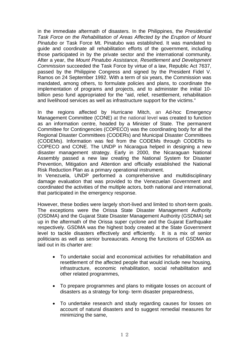in the immediate aftermath of disasters. In the Philippines, the *Presidential Task Force on the Rehabilitation of Areas Affected by the Eruption of Mount Pinatubo* or Task Force Mt. Pinatubo was established. It was mandated to guide and coordinate all rehabilitation efforts of the government, including those participated in by the private sector and the international community. After a year, the *Mount Pinatubo Assistance, Resettlement and Development Commission* succeeded the Task Force by virtue of a law, Republic Act 7637, passed by the Philippine Congress and signed by the President Fidel V. Ramos on 24 September 1992. With a term of six years, the Commission was mandated, among others, to formulate policies and plans, to coordinate the implementation of programs and projects, and to administer the initial 10 billion peso fund appropriated for the "aid, relief, resettlement, rehabilitation and livelihood services as well as infrastructure support for the victims."

In the regions affected by Hurricane Mitch, an Ad-hoc Emergency Management Committee (CONE) at the national level was created to function as an information centre, headed by a Minister of State. The permanent Committee for Contingencies (COPECO) was the coordinating body for all the Regional Disaster Committees (CODERs) and Municipal Disaster Committees (CODEMs). Information was fed from the CODEMs through CODERs to COPECO and CONE. The UNDP in Nicaragua helped in designing a new disaster management strategy. Early in 2000, the Nicaraguan National Assembly passed a new law creating the National System for Disaster Prevention, Mitigation and Attention and officially established the National Risk Reduction Plan as a primary operational instrument.

In Venezuela, UNDP performed a comprehensive and multidisciplinary damage evaluation that was provided to the Venezuelan Government and coordinated the activities of the multiple actors, both national and international, that participated in the emergency response.

However, these bodies were largely short-lived and limited to short-term goals. The exceptions were the Orissa State Disaster Management Authority (OSDMA) and the Gujarat State Disaster Management Authority (GSDMA) set up in the aftermath of the Orissa super cyclone and the Gujarat Earthquake respectively. GSDMA was the highest body created at the State Government level to tackle disasters effectively and efficiently. It is a mix of senior politicians as well as senior bureaucrats. Among the functions of GSDMA as laid out in its charter are:

- To undertake social and economical activities for rehabilitation and resettlement of the affected people that would include new housing, infrastructure, economic rehabilitation, social rehabilitation and other related programmes,
- To prepare programmes and plans to mitigate losses on account of disasters as a strategy for long- term disaster preparedness,
- To undertake research and study regarding causes for losses on account of natural disasters and to suggest remedial measures for minimizing the same,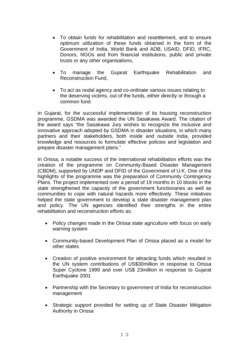- To obtain funds for rehabilitation and resettlement, and to ensure optimum utilization of these funds obtained in the form of the Government of India, World Bank and ADB, USAID, DFID, IFRC, Donors, NGOs and from financial institutions, public and private trusts or any other organisations,
- To manage the Gujarat Earthquake Rehabilitation and Reconstruction Fund,
- To act as nodal agency and co-ordinate various issues relating to the deserving victims, out of the funds, either directly or through a common fund.

In Gujarat, for the successful implementation of its housing reconstruction programme, GSDMA was awarded the UN Sasakawa Award. The citation of the award says "the Sasakawa Jury wishes to recognize the inclusive and innovative approach adopted by GSDMA in disaster situations, in which many partners and their stakeholders, both inside and outside India, provided knowledge and resources to formulate effective policies and legislation and prepare disaster management plans."

In Orissa, a notable success of the international rehabilitation efforts was the creation of the programme on Community-Based Disaster Management (CBDM), supported by UNDP and DFID of the Government of U.K. One of the highlights of the programme was the preparation of Community Contingency Plans. The project implemented over a period of 19 months in 10 blocks in the state strengthened the capacity of the government functionaries as well as communities to cope with natural hazards more effectively. These initiatives helped the state government to develop a state disaster management plan and policy. The UN agencies identified their strengths in the entire rehabilitation and reconstruction efforts as:

- Policy changes made in the Orissa state agriculture with focus on early warning system
- Community-based Development Plan of Orissa placed as a model for other states
- Creation of positive environment for attracting funds which resulted in the UN system contributions of US\$30million in response to Orissa Super Cyclone 1999 and over US\$ 23million in response to Gujarat Earthquake 2001
- Partnership with the Secretary to government of India for reconstruction management
- Strategic support provided for setting up of State Disaster Mitigation Authority in Orissa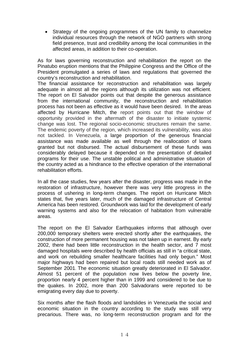• Strategy of the ongoing programmes of the UN family to channelize individual resources through the network of NGO partners with strong field presence, trust and credibility among the local communities in the affected areas, in addition to their co-operation.

As for laws governing reconstruction and rehabilitation the report on the Pinatubo eruption mentions that the Philippine Congress and the Office of the President promulgated a series of laws and regulations that governed the country's reconstruction and rehabilitation.

The financial assistance for reconstruction and rehabilitation was largely adequate in almost all the regions although its utilization was not efficient. The report on El Salvador points out that despite the generous assistance from the international community, the reconstruction and rehabilitation process has not been as effective as it would have been desired. In the areas affected by Hurricane Mitch, the report points out that the window of opportunity provided in the aftermath of the disaster to initiate systemic change was lost. The regional socio-economic structures remain the same. The endemic poverty of the region, which increased its vulnerability, was also not tackled. In Venezuela, a large proportion of the generous financial assistance was made available as well through the reallocation of loans granted but not disbursed. The actual disbursement of these funds was considerably delayed because it depended on the presentation of detailed programs for their use. The unstable political and administrative situation of the country acted as a hindrance to the effective operation of the international rehabilitation efforts.

In all the case studies, few years after the disaster, progress was made in the restoration of infrastructure, however there was very little progress in the process of ushering in long-term changes. The report on Hurricane Mitch states that, five years later, much of the damaged infrastructure of Central America has been restored. Groundwork was laid for the development of early warning systems and also for the relocation of habitation from vulnerable areas.

The report on the El Salvador Earthquakes informs that although over 200,000 temporary shelters were erected shortly after the earthquakes, the construction of more permanent housing was not taken up in earnest. By early 2002, there had been little reconstruction in the health sector, and 7 most damaged hospitals were described by health officials as still in "a critical state, and work on rebuilding smaller healthcare facilities had only begun." Most major highways had been repaired but local roads still needed work as of September 2001. The economic situation greatly deteriorated in El Salvador. Almost 51 percent of the population now lives below the poverty line, proportion nearly 4 percent higher than in 1999 and considered to be due to the quakes. In 2002, more than 200 Salvadorans were reported to be emigrating every day due to poverty.

Six months after the flash floods and landslides in Venezuela the social and economic situation in the country according to the study was still very precarious. There was, no long-term reconstruction program and for the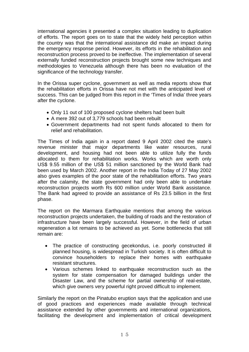international agencies it presented a complex situation leading to duplication of efforts. The report goes on to state that the widely held perception within the country was that the international assistance did make an impact during the emergency response period. However, its efforts in the rehabilitation and reconstruction process proved to be ineffective. The implementation of several externally funded reconstruction projects brought some new techniques and methodologies to Venezuela although there has been no evaluation of the significance of the technology transfer.

In the Orissa super cyclone, government as well as media reports show that the rehabilitation efforts in Orissa have not met with the anticipated level of success. This can be judged from this report in the 'Times of India' three years after the cyclone.

- Only 11 out of 100 proposed cyclone shelters had been built
- A mere 392 out of 3,779 schools had been rebuilt
- Government departments had not spent funds allocated to them for relief and rehabilitation.

The Times of India again in a report dated 9 April 2002 cited the state's revenue minister that major departments like water resources, rural development, and housing had not been able to utilize fully the funds allocated to them for rehabilitation works. Works which are worth only US\$ 9.55 million of the US\$ 51 million sanctioned by the World Bank had been used by March 2002. Another report in the India Today of 27 May 2002 also gives examples of the poor state of the rehabilitation efforts. Two years after the calamity, the state government had only been able to undertake reconstruction projects worth Rs 600 million under World Bank assistance. The Bank had agreed to provide an assistance of Rs 23.5 billion in the first phase.

The report on the Marmara Earthquake mentions that among the various reconstruction projects undertaken, the building of roads and the restoration of infrastructure have been largely successful. However, in the field of urban regeneration a lot remains to be achieved as yet. Some bottlenecks that still remain are:

- The practice of constructing gecekondus, i.e. poorly constructed ill planned housing, is widespread in Turkish society. It is often difficult to convince householders to replace their homes with earthquake resistant structures.
- Various schemes linked to earthquake reconstruction such as the system for state compensation for damaged buildings under the Disaster Law, and the scheme for partial ownership of real-estate, which give owners very powerful right proved difficult to implement.

Similarly the report on the Pinatubo eruption says that the application and use of good practices and experiences made available through technical assistance extended by other governments and international organizations, facilitating the development and implementation of critical development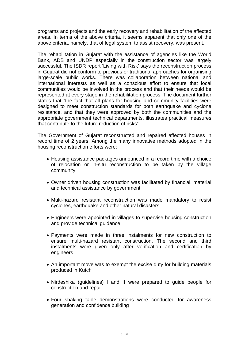programs and projects and the early recovery and rehabilitation of the affected areas. In terms of the above criteria, it seems apparent that only one of the above criteria, namely, that of legal system to assist recovery, was present.

The rehabilitation in Gujarat with the assistance of agencies like the World Bank, ADB and UNDP especially in the construction sector was largely successful. The ISDR report 'Living with Risk' says the reconstruction process in Gujarat did not conform to previous or traditional approaches for organising large-scale public works. There was collaboration between national and international interests as well as a conscious effort to ensure that local communities would be involved in the process and that their needs would be represented at every stage in the rehabilitation process. The document further states that "the fact that all plans for housing and community facilities were designed to meet construction standards for both earthquake and cyclone resistance, and that they were approved by both the communities and the appropriate government technical departments, illustrates practical measures that contribute to the future reduction of risks".

The Government of Gujarat reconstructed and repaired affected houses in record time of 2 years. Among the many innovative methods adopted in the housing reconstruction efforts were:

- Housing assistance packages announced in a record time with a choice of relocation or in-situ reconstruction to be taken by the village community.
- Owner driven housing construction was facilitated by financial, material and technical assistance by government
- Multi-hazard resistant reconstruction was made mandatory to resist cyclones, earthquake and other natural disasters
- Engineers were appointed in villages to supervise housing construction and provide technical guidance
- Payments were made in three instalments for new construction to ensure multi-hazard resistant construction. The second and third instalments were given only after verification and certification by engineers
- An important move was to exempt the excise duty for building materials produced in Kutch
- Nirdeshika (guidelines) I and II were prepared to guide people for construction and repair
- Four shaking table demonstrations were conducted for awareness generation and confidence building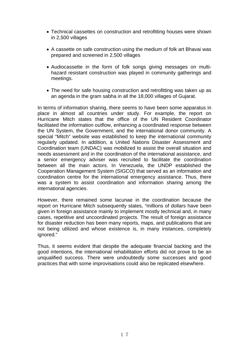- Technical cassettes on construction and retrofitting houses were shown in 2,500 villages
- A cassette on safe construction using the medium of folk art Bhavai was prepared and screened in 2,500 villages
- Audiocassette in the form of folk songs giving messages on multihazard resistant construction was played in community gatherings and meetings.
- The need for safe housing construction and retrofitting was taken up as an agenda in the gram sabha in all the 18,000 villages of Gujarat.

In terms of information sharing, there seems to have been some apparatus in place in almost all countries under study. For example, the report on Hurricane Mitch states that the office of the UN Resident Coordinator facilitated the information outflow, enhancing a coordinated response between the UN System, the Government, and the international donor community. A special "Mitch" website was established to keep the international community regularly updated. In addition, a United Nations Disaster Assessment and Coordination team (UNDAC) was mobilized to assist the overall situation and needs assessment and in the coordination of the international assistance, and a senior emergency adviser was recruited to facilitate the coordination between all the main actors. In Venezuela, the UNDP established the Cooperation Management System (SIGCO) that served as an information and coordination centre for the international emergency assistance. Thus, there was a system to assist coordination and information sharing among the international agencies.

However, there remained some lacunae in the coordination because the report on Hurricane Mitch subsequently states, "millions of dollars have been given in foreign assistance mainly to implement mostly technical and, in many cases, repetitive and uncoordinated projects. The result of foreign assistance for disaster reduction has been many reports, maps, and publications that are not being utilized and whose existence is, in many instances, completely ignored."

Thus, it seems evident that despite the adequate financial backing and the good intentions, the international rehabilitation efforts did not prove to be an unqualified success. There were undoubtedly some successes and good practices that with some improvisations could also be replicated elsewhere.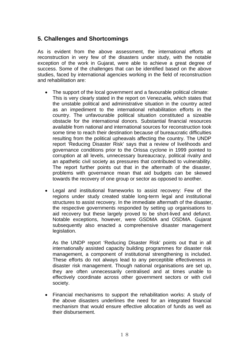# **5. Challenges and Shortcomings**

As is evident from the above assessment, the international efforts at reconstruction in very few of the disasters under study, with the notable exception of the work in Gujarat, were able to achieve a great degree of success. Some of the challenges that can be identified based on the above studies, faced by international agencies working in the field of reconstruction and rehabilitation are:

- The support of the local government and a favourable political climate: This is very clearly stated in the report on Venezuela, which states that the unstable political and administrative situation in the country acted as an impediment to the international rehabilitation efforts in the country. The unfavourable political situation constituted a sizeable obstacle for the international donors. Substantial financial resources available from national and international sources for reconstruction took some time to reach their destination because of bureaucratic difficulties resulting from the political upheavals affecting the country. The UNDP report 'Reducing Disaster Risk' says that a review of livelihoods and governance conditions prior to the Orissa cyclone in 1999 pointed to corruption at all levels, unnecessary bureaucracy, political rivalry and an apathetic civil society as pressures that contributed to vulnerability. The report further points out that in the aftermath of the disaster, problems with governance mean that aid budgets can be skewed towards the recovery of one group or sector as opposed to another.
- Legal and institutional frameworks to assist recovery: Few of the regions under study created stable long-term legal and institutional structures to assist recovery. In the immediate aftermath of the disaster, the respective governments responded by setting up organisations to aid recovery but these largely proved to be short-lived and defunct. Notable exceptions, however, were GSDMA and OSDMA. Gujarat subsequently also enacted a comprehensive disaster management legislation.

As the UNDP report 'Reducing Disaster Risk' points out that in all internationally assisted capacity building programmes for disaster risk management, a component of institutional strengthening is included. These efforts do not always lead to any perceptible effectiveness in disaster risk management. Though national organisations are set up, they are often unnecessarily centralised and at times unable to effectively coordinate across other government sectors or with civil society.

• Financial mechanisms to support the rehabilitation works: A study of the above disasters underlines the need for an integrated financial mechanism that would ensure effective allocation of funds as well as their disbursement.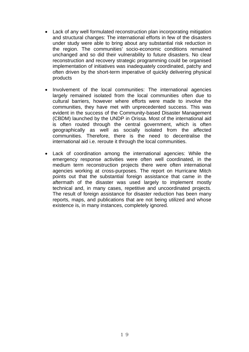- Lack of any well formulated reconstruction plan incorporating mitigation and structural changes: The international efforts in few of the disasters under study were able to bring about any substantial risk reduction in the region. The communities' socio-economic conditions remained unchanged and so did their vulnerability to future disasters. No clear reconstruction and recovery strategic programming could be organised implementation of initiatives was inadequately coordinated, patchy and often driven by the short-term imperative of quickly delivering physical products
- Involvement of the local communities: The international agencies largely remained isolated from the local communities often due to cultural barriers, however where efforts were made to involve the communities, they have met with unprecedented success. This was evident in the success of the Community-based Disaster Management (CBDM) launched by the UNDP in Orissa. Most of the international aid is often routed through the central government, which is often geographically as well as socially isolated from the affected communities. Therefore, there is the need to decentralise the international aid i.e. reroute it through the local communities.
- Lack of coordination among the international agencies: While the emergency response activities were often well coordinated, in the medium term reconstruction projects there were often international agencies working at cross-purposes. The report on Hurricane Mitch points out that the substantial foreign assistance that came in the aftermath of the disaster was used largely to implement mostly technical and, in many cases, repetitive and uncoordinated projects. The result of foreign assistance for disaster reduction has been many reports, maps, and publications that are not being utilized and whose existence is, in many instances, completely ignored.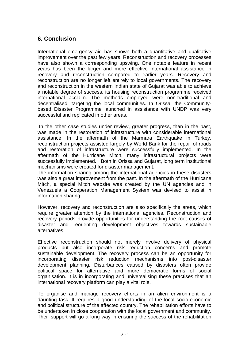# **6. Conclusion**

International emergency aid has shown both a quantitative and qualitative improvement over the past few years. Reconstruction and recovery processes have also shown a corresponding upswing. One notable feature in recent years has been the larger and more effective international assistance in recovery and reconstruction compared to earlier years. Recovery and reconstruction are no longer left entirely to local governments. The recovery and reconstruction in the western Indian state of Gujarat was able to achieve a notable degree of success, its housing reconstruction programme received international acclaim. The methods employed were non-traditional and decentralised, targeting the local communities. In Orissa, the Communitybased Disaster Programme launched in assistance with UNDP was very successful and replicated in other areas.

 In the other case studies under review, greater progress, than in the past, was made in the restoration of infrastructure with considerable international assistance. In the aftermath of the Marmara Earthquake in Turkey, reconstruction projects assisted largely by World Bank for the repair of roads and restoration of infrastructure were successfully implemented. In the aftermath of the Hurricane Mitch, many infrastructural projects were successfully implemented. Both in Orissa and Gujarat, long term institutional mechanisms were created for disaster management.

The information sharing among the international agencies in these disasters was also a great improvement from the past. In the aftermath of the Hurricane Mitch, a special Mitch website was created by the UN agencies and in Venezuela a Cooperation Management System was devised to assist in information sharing.

However, recovery and reconstruction are also specifically the areas, which require greater attention by the international agencies. Reconstruction and recovery periods provide opportunities for understanding the root causes of disaster and reorienting development objectives towards sustainable alternatives.

Effective reconstruction should not merely involve delivery of physical products but also incorporate risk reduction concerns and promote sustainable development. The recovery process can be an opportunity for incorporating disaster risk reduction mechanisms into post-disaster development planning. Disturbances caused by disasters often provide political space for alternative and more democratic forms of social organisation. It is in incorporating and universalising these practises that an international recovery platform can play a vital role.

To organise and manage recovery efforts in an alien environment is a daunting task. It requires a good understanding of the local socio-economic and political structure of the affected country. The rehabilitation efforts have to be undertaken in close cooperation with the local government and community. Their support will go a long way in ensuring the success of the rehabilitation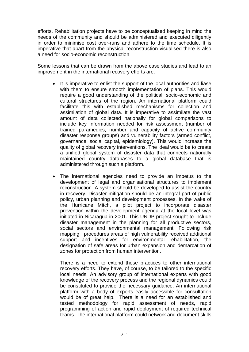efforts. Rehabilitation projects have to be conceptualised keeping in mind the needs of the community and should be administered and executed diligently in order to minimise cost over-runs and adhere to the time schedule. It is imperative that apart from the physical reconstruction visualised there is also a need for socio-economic reconstruction.

Some lessons that can be drawn from the above case studies and lead to an improvement in the international recovery efforts are:

- It is imperative to enlist the support of the local authorities and liase with them to ensure smooth implementation of plans. This would require a good understanding of the political, socio-economic and cultural structures of the region. An international platform could facilitate this with established mechanisms for collection and assimilation of global data. It is imperative to assimilate the vast amount of data collected nationally for global comparisons to include key information needed for risk assessment (number of trained paramedics, number and capacity of active community disaster response groups) and vulnerability factors (armed conflict, governance, social capital, epidemiology). This would increase the quality of global recovery interventions. The ideal would be to create a unified global system of disaster data that connects nationally maintained country databases to a global database that is administered through such a platform.
- The international agencies need to provide an impetus to the development of legal and organisational structures to implement reconstruction. A system should be developed to assist the country in recovery. Disaster mitigation should be an integral part of public policy, urban planning and development processes. In the wake of the Hurricane Mitch, a pilot project to incorporate disaster prevention within the development agenda at the local level was initiated in Nicaragua in 2001. This UNDP project sought to include disaster management in the planning for all productive sectors, social sectors and environmental management. Following risk mapping procedures areas of high vulnerability received additional support and incentives for environmental rehabilitation, the designation of safe areas for urban expansion and demarcation of zones for protection from human intervention.

There is a need to extend these practices to other international recovery efforts. They have, of course, to be tailored to the specific local needs. An advisory group of international experts with good knowledge of the recovery process and the regional dynamics could be constituted to provide the necessary guidance. An international platform with a body of experts easily accessible for consultation would be of great help. There is a need for an established and tested methodology for rapid assessment of needs, rapid programming of action and rapid deployment of required technical teams. The international platform could network and document skills,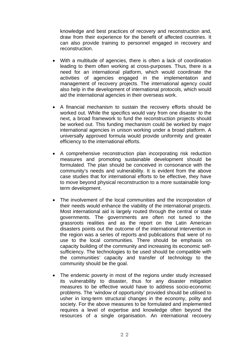knowledge and best practices of recovery and reconstruction and, draw from their experience for the benefit of affected countries. It can also provide training to personnel engaged in recovery and reconstruction.

- With a multitude of agencies, there is often a lack of coordination leading to them often working at cross-purposes. Thus, there is a need for an international platform, which would coordinate the activities of agencies engaged in the implementation and management of recovery projects. The international agency could also help in the development of international protocols, which would aid the international agencies in their overseas work.
- A financial mechanism to sustain the recovery efforts should be worked out. While the specifics would vary from one disaster to the next, a broad framework to fund the reconstruction projects should be worked out. This funding mechanism could be worked by major international agencies in unison working under a broad platform. A universally approved formula would provide uniformity and greater efficiency to the international efforts.
- A comprehensive reconstruction plan incorporating risk reduction measures and promoting sustainable development should be formulated. The plan should be conceived in consonance with the community's needs and vulnerability. It is evident from the above case studies that for international efforts to be effective, they have to move beyond physical reconstruction to a more sustainable longterm development.
- The involvement of the local communities and the incorporation of their needs would enhance the viability of the international projects. Most international aid is largely routed through the central or state governments. The governments are often not tuned to the grassroots realities and as the report on the Latin American disasters points out the outcome of the international intervention in the region was a series of reports and publications that were of no use to the local communities. There should be emphasis on capacity building of the community and increasing its economic selfsufficiency. The technologies to be used should be compatible with the communities' capacity and transfer of technology to the community should be the goal.
- The endemic poverty in most of the regions under study increased its vulnerability to disaster, thus for any disaster mitigation measures to be effective would have to address socio-economic problems. The 'window of opportunity' provided should be utilised to usher in long-term structural changes in the economy, polity and society. For the above measures to be formulated and implemented requires a level of expertise and knowledge often beyond the resources of a single organisation. An international recovery